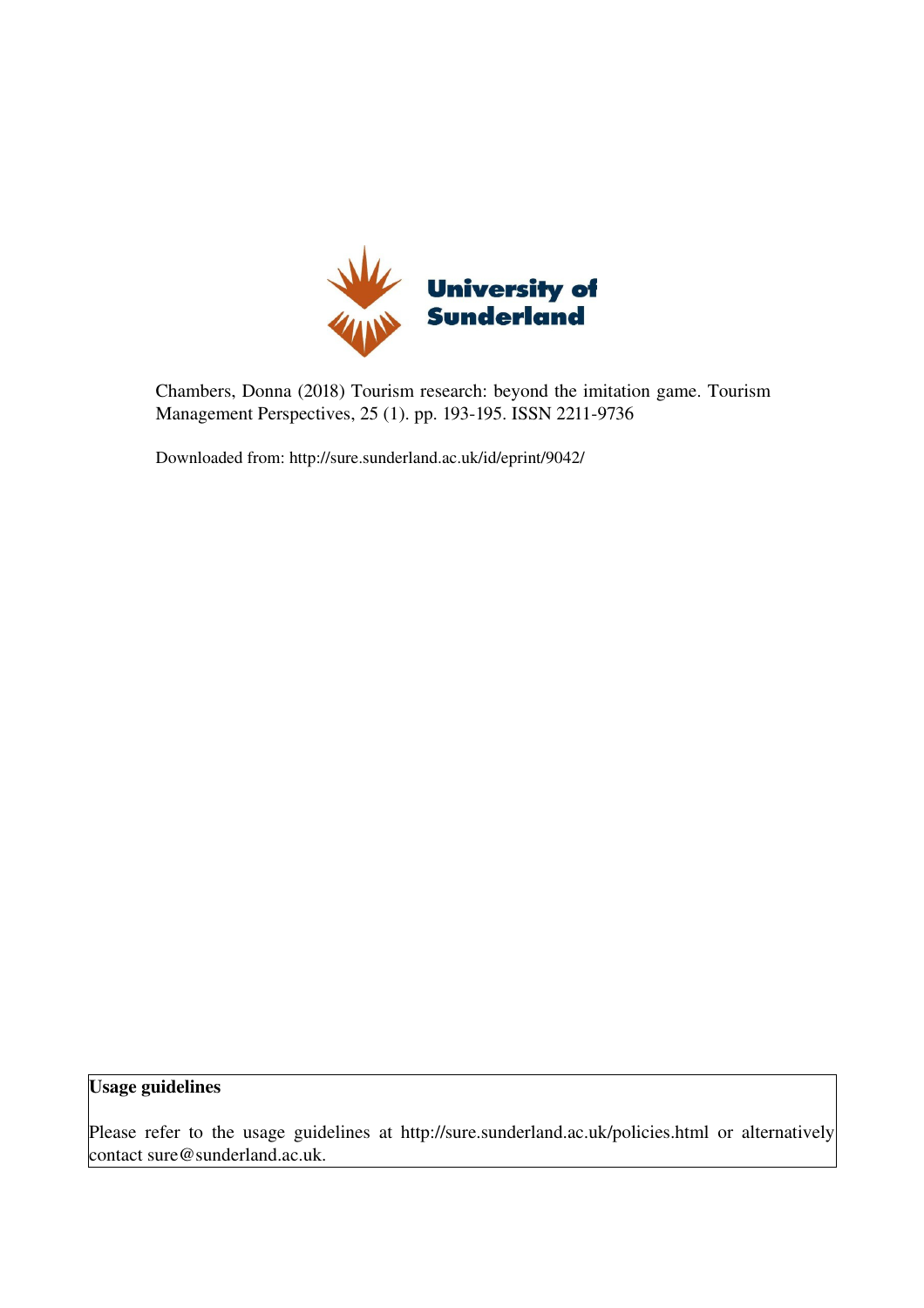

Chambers, Donna (2018) Tourism research: beyond the imitation game. Tourism Management Perspectives, 25 (1). pp. 193-195. ISSN 2211-9736

Downloaded from: http://sure.sunderland.ac.uk/id/eprint/9042/

Usage guidelines

Please refer to the usage guidelines at http://sure.sunderland.ac.uk/policies.html or alternatively contact sure@sunderland.ac.uk.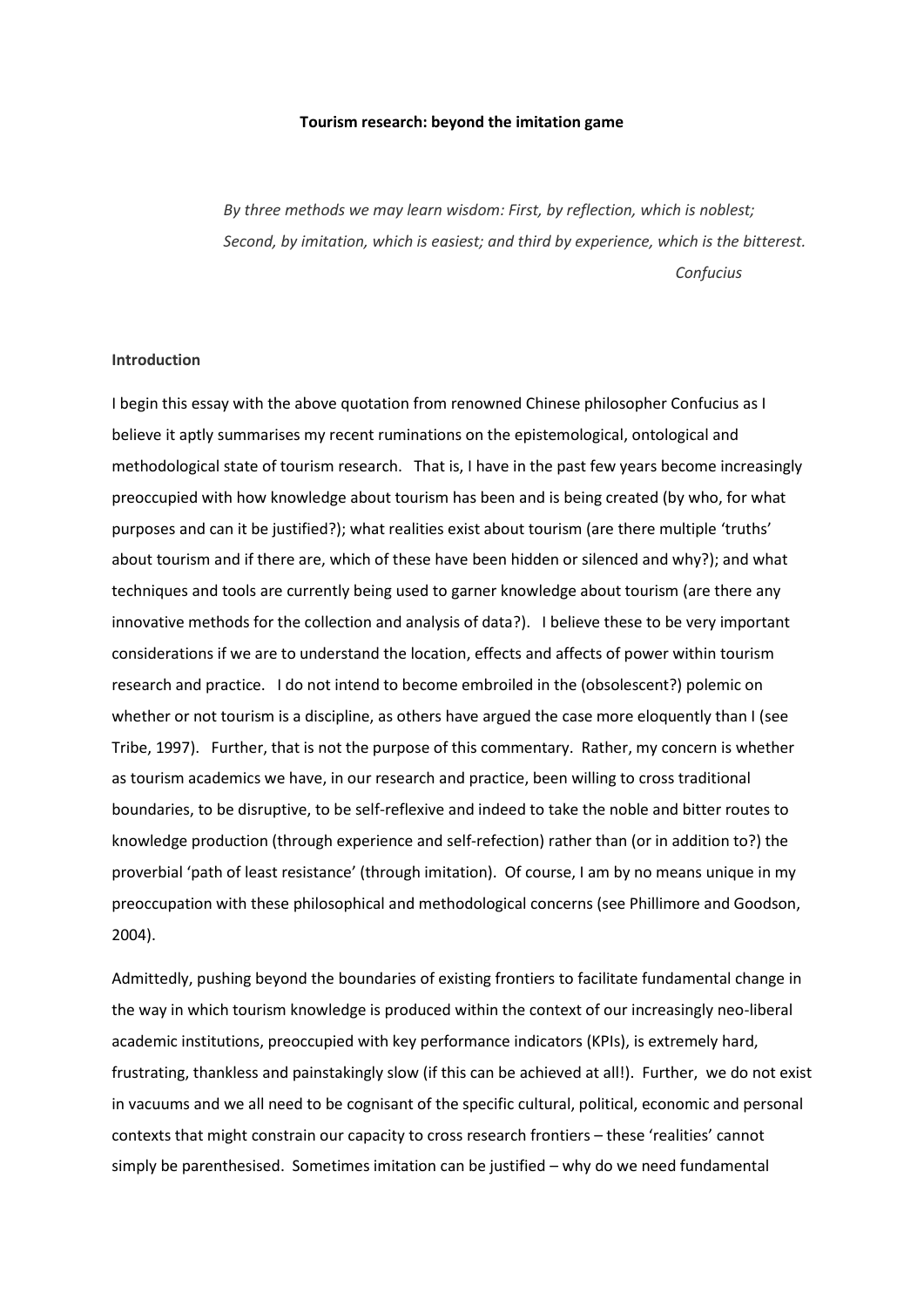#### **Tourism research: beyond the imitation game**

*By three methods we may learn wisdom: First, by reflection, which is noblest; Second, by imitation, which is easiest; and third by experience, which is the bitterest. Confucius*

# **Introduction**

I begin this essay with the above quotation from renowned Chinese philosopher Confucius as I believe it aptly summarises my recent ruminations on the epistemological, ontological and methodological state of tourism research. That is, I have in the past few years become increasingly preoccupied with how knowledge about tourism has been and is being created (by who, for what purposes and can it be justified?); what realities exist about tourism (are there multiple 'truths' about tourism and if there are, which of these have been hidden or silenced and why?); and what techniques and tools are currently being used to garner knowledge about tourism (are there any innovative methods for the collection and analysis of data?). I believe these to be very important considerations if we are to understand the location, effects and affects of power within tourism research and practice. I do not intend to become embroiled in the (obsolescent?) polemic on whether or not tourism is a discipline, as others have argued the case more eloquently than I (see Tribe, 1997). Further, that is not the purpose of this commentary. Rather, my concern is whether as tourism academics we have, in our research and practice, been willing to cross traditional boundaries, to be disruptive, to be self-reflexive and indeed to take the noble and bitter routes to knowledge production (through experience and self-refection) rather than (or in addition to?) the proverbial 'path of least resistance' (through imitation). Of course, I am by no means unique in my preoccupation with these philosophical and methodological concerns (see Phillimore and Goodson, 2004).

Admittedly, pushing beyond the boundaries of existing frontiers to facilitate fundamental change in the way in which tourism knowledge is produced within the context of our increasingly neo-liberal academic institutions, preoccupied with key performance indicators (KPIs), is extremely hard, frustrating, thankless and painstakingly slow (if this can be achieved at all!). Further, we do not exist in vacuums and we all need to be cognisant of the specific cultural, political, economic and personal contexts that might constrain our capacity to cross research frontiers – these 'realities' cannot simply be parenthesised. Sometimes imitation can be justified – why do we need fundamental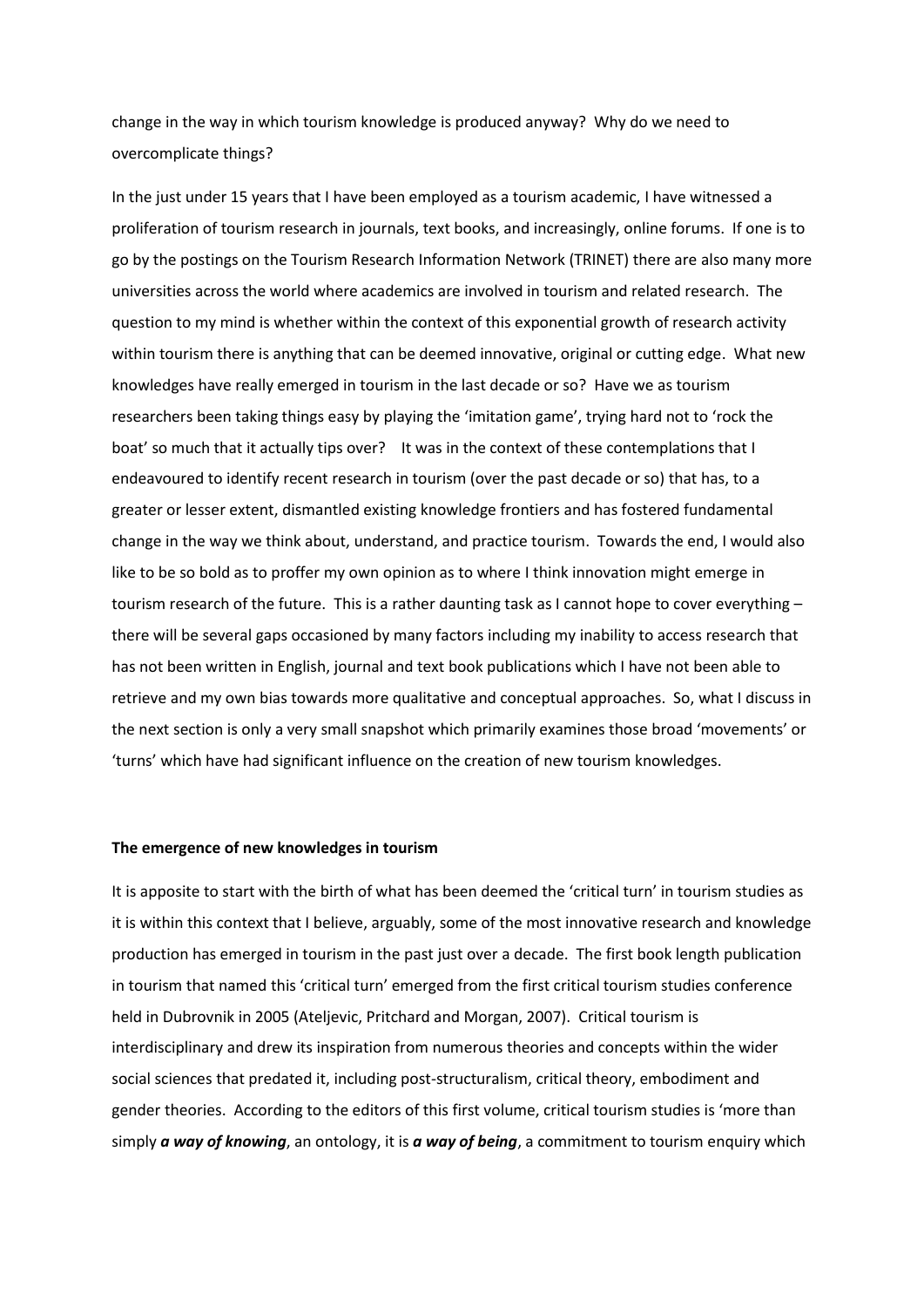change in the way in which tourism knowledge is produced anyway? Why do we need to overcomplicate things?

In the just under 15 years that I have been employed as a tourism academic, I have witnessed a proliferation of tourism research in journals, text books, and increasingly, online forums. If one is to go by the postings on the Tourism Research Information Network (TRINET) there are also many more universities across the world where academics are involved in tourism and related research. The question to my mind is whether within the context of this exponential growth of research activity within tourism there is anything that can be deemed innovative, original or cutting edge. What new knowledges have really emerged in tourism in the last decade or so? Have we as tourism researchers been taking things easy by playing the 'imitation game', trying hard not to 'rock the boat' so much that it actually tips over? It was in the context of these contemplations that I endeavoured to identify recent research in tourism (over the past decade or so) that has, to a greater or lesser extent, dismantled existing knowledge frontiers and has fostered fundamental change in the way we think about, understand, and practice tourism. Towards the end, I would also like to be so bold as to proffer my own opinion as to where I think innovation might emerge in tourism research of the future. This is a rather daunting task as I cannot hope to cover everything – there will be several gaps occasioned by many factors including my inability to access research that has not been written in English, journal and text book publications which I have not been able to retrieve and my own bias towards more qualitative and conceptual approaches. So, what I discuss in the next section is only a very small snapshot which primarily examines those broad 'movements' or 'turns' which have had significant influence on the creation of new tourism knowledges.

## **The emergence of new knowledges in tourism**

It is apposite to start with the birth of what has been deemed the 'critical turn' in tourism studies as it is within this context that I believe, arguably, some of the most innovative research and knowledge production has emerged in tourism in the past just over a decade. The first book length publication in tourism that named this 'critical turn' emerged from the first critical tourism studies conference held in Dubrovnik in 2005 (Ateljevic, Pritchard and Morgan, 2007). Critical tourism is interdisciplinary and drew its inspiration from numerous theories and concepts within the wider social sciences that predated it, including post-structuralism, critical theory, embodiment and gender theories. According to the editors of this first volume, critical tourism studies is 'more than simply *a way of knowing*, an ontology, it is *a way of being*, a commitment to tourism enquiry which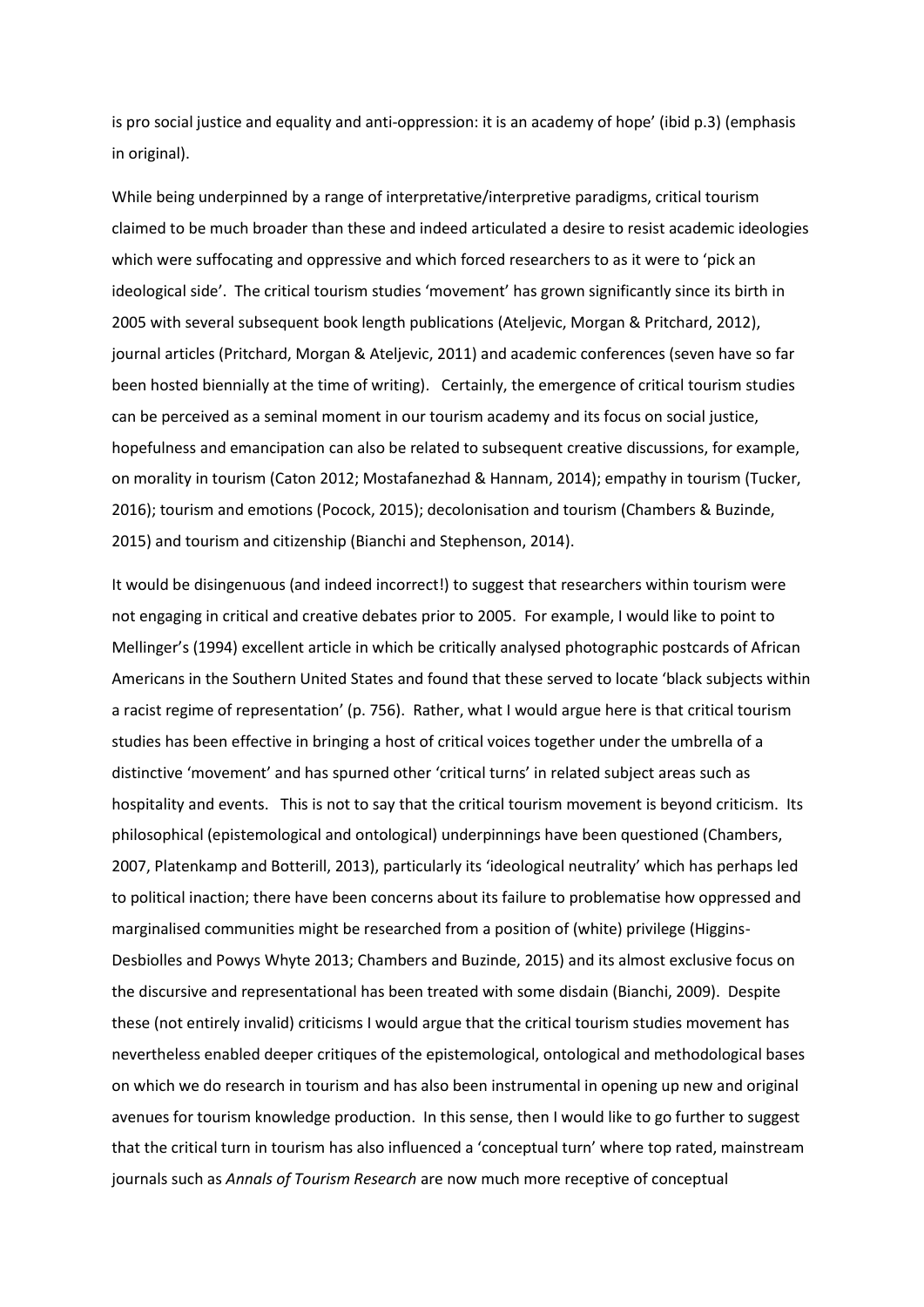is pro social justice and equality and anti-oppression: it is an academy of hope' (ibid p.3) (emphasis in original).

While being underpinned by a range of interpretative/interpretive paradigms, critical tourism claimed to be much broader than these and indeed articulated a desire to resist academic ideologies which were suffocating and oppressive and which forced researchers to as it were to 'pick an ideological side'. The critical tourism studies 'movement' has grown significantly since its birth in 2005 with several subsequent book length publications (Ateljevic, Morgan & Pritchard, 2012), journal articles (Pritchard, Morgan & Ateljevic, 2011) and academic conferences (seven have so far been hosted biennially at the time of writing). Certainly, the emergence of critical tourism studies can be perceived as a seminal moment in our tourism academy and its focus on social justice, hopefulness and emancipation can also be related to subsequent creative discussions, for example, on morality in tourism (Caton 2012; Mostafanezhad & Hannam, 2014); empathy in tourism (Tucker, 2016); tourism and emotions (Pocock, 2015); decolonisation and tourism (Chambers & Buzinde, 2015) and tourism and citizenship (Bianchi and Stephenson, 2014).

It would be disingenuous (and indeed incorrect!) to suggest that researchers within tourism were not engaging in critical and creative debates prior to 2005. For example, I would like to point to Mellinger's (1994) excellent article in which be critically analysed photographic postcards of African Americans in the Southern United States and found that these served to locate 'black subjects within a racist regime of representation' (p. 756). Rather, what I would argue here is that critical tourism studies has been effective in bringing a host of critical voices together under the umbrella of a distinctive 'movement' and has spurned other 'critical turns' in related subject areas such as hospitality and events. This is not to say that the critical tourism movement is beyond criticism. Its philosophical (epistemological and ontological) underpinnings have been questioned (Chambers, 2007, Platenkamp and Botterill, 2013), particularly its 'ideological neutrality' which has perhaps led to political inaction; there have been concerns about its failure to problematise how oppressed and marginalised communities might be researched from a position of (white) privilege (Higgins-Desbiolles and Powys Whyte 2013; Chambers and Buzinde, 2015) and its almost exclusive focus on the discursive and representational has been treated with some disdain (Bianchi, 2009). Despite these (not entirely invalid) criticisms I would argue that the critical tourism studies movement has nevertheless enabled deeper critiques of the epistemological, ontological and methodological bases on which we do research in tourism and has also been instrumental in opening up new and original avenues for tourism knowledge production. In this sense, then I would like to go further to suggest that the critical turn in tourism has also influenced a 'conceptual turn' where top rated, mainstream journals such as *Annals of Tourism Research* are now much more receptive of conceptual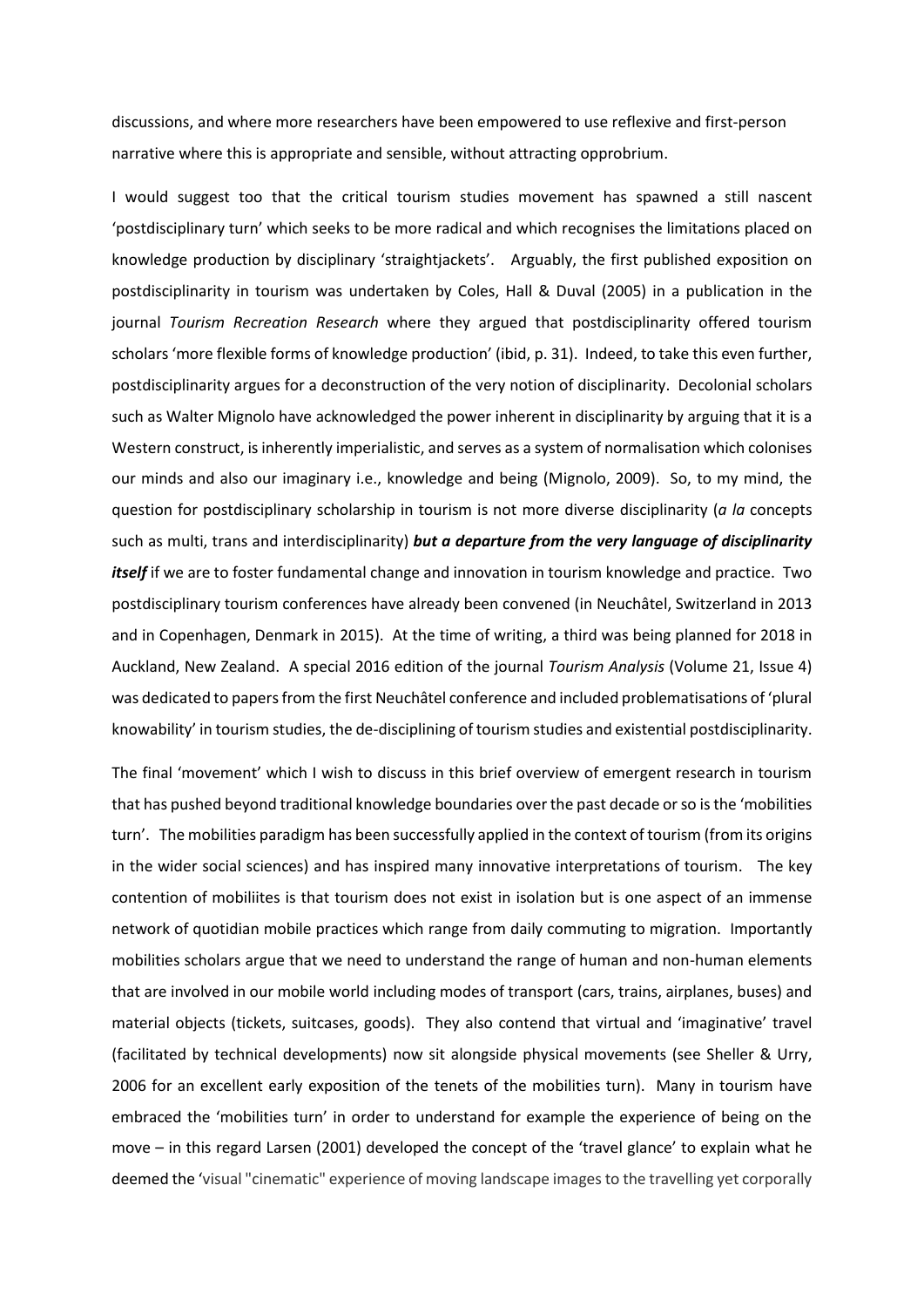discussions, and where more researchers have been empowered to use reflexive and first-person narrative where this is appropriate and sensible, without attracting opprobrium.

I would suggest too that the critical tourism studies movement has spawned a still nascent 'postdisciplinary turn' which seeks to be more radical and which recognises the limitations placed on knowledge production by disciplinary 'straightjackets'. Arguably, the first published exposition on postdisciplinarity in tourism was undertaken by Coles, Hall & Duval (2005) in a publication in the journal *Tourism Recreation Research* where they argued that postdisciplinarity offered tourism scholars 'more flexible forms of knowledge production' (ibid, p. 31). Indeed, to take this even further, postdisciplinarity argues for a deconstruction of the very notion of disciplinarity. Decolonial scholars such as Walter Mignolo have acknowledged the power inherent in disciplinarity by arguing that it is a Western construct, is inherently imperialistic, and serves as a system of normalisation which colonises our minds and also our imaginary i.e., knowledge and being (Mignolo, 2009). So, to my mind, the question for postdisciplinary scholarship in tourism is not more diverse disciplinarity (*a la* concepts such as multi, trans and interdisciplinarity) *but a departure from the very language of disciplinarity itself* if we are to foster fundamental change and innovation in tourism knowledge and practice. Two postdisciplinary tourism conferences have already been convened (in Neuchâtel, Switzerland in 2013 and in Copenhagen, Denmark in 2015). At the time of writing, a third was being planned for 2018 in Auckland, New Zealand. A special 2016 edition of the journal *Tourism Analysis* (Volume 21, Issue 4) was dedicated to papers from the first Neuchâtel conference and included problematisations of 'plural knowability' in tourism studies, the de-disciplining of tourism studies and existential postdisciplinarity.

The final 'movement' which I wish to discuss in this brief overview of emergent research in tourism that has pushed beyond traditional knowledge boundaries over the past decade or so is the 'mobilities turn'. The mobilities paradigm has been successfully applied in the context of tourism (from its origins in the wider social sciences) and has inspired many innovative interpretations of tourism. The key contention of mobiliites is that tourism does not exist in isolation but is one aspect of an immense network of quotidian mobile practices which range from daily commuting to migration. Importantly mobilities scholars argue that we need to understand the range of human and non-human elements that are involved in our mobile world including modes of transport (cars, trains, airplanes, buses) and material objects (tickets, suitcases, goods). They also contend that virtual and 'imaginative' travel (facilitated by technical developments) now sit alongside physical movements (see Sheller & Urry, 2006 for an excellent early exposition of the tenets of the mobilities turn). Many in tourism have embraced the 'mobilities turn' in order to understand for example the experience of being on the move – in this regard Larsen (2001) developed the concept of the 'travel glance' to explain what he deemed the 'visual "cinematic" experience of moving landscape images to the travelling yet corporally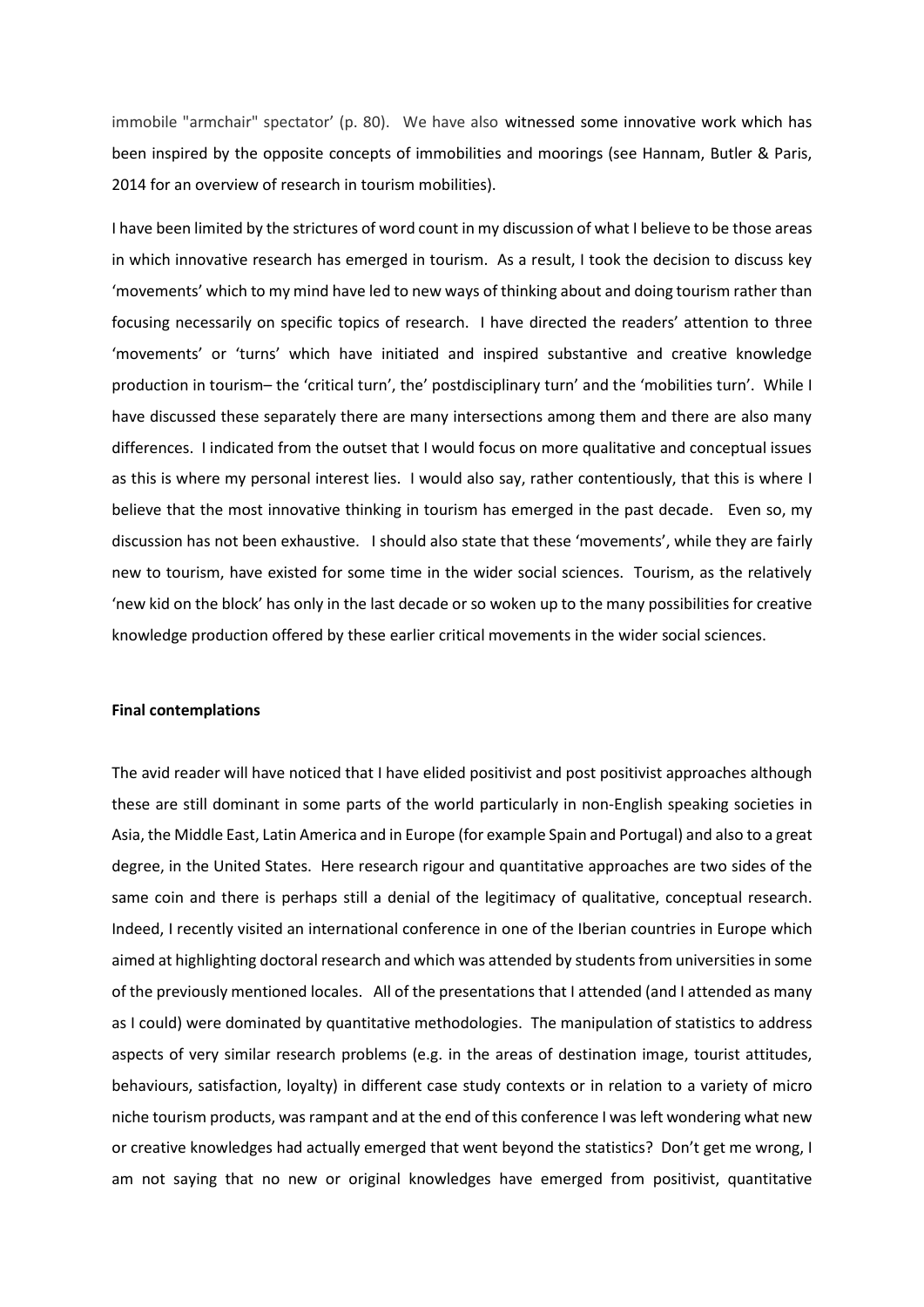immobile "armchair" spectator' (p. 80). We have also witnessed some innovative work which has been inspired by the opposite concepts of immobilities and moorings (see Hannam, Butler & Paris, 2014 for an overview of research in tourism mobilities).

I have been limited by the strictures of word count in my discussion of what I believe to be those areas in which innovative research has emerged in tourism. As a result, I took the decision to discuss key 'movements' which to my mind have led to new ways of thinking about and doing tourism rather than focusing necessarily on specific topics of research. I have directed the readers' attention to three 'movements' or 'turns' which have initiated and inspired substantive and creative knowledge production in tourism– the 'critical turn', the' postdisciplinary turn' and the 'mobilities turn'. While I have discussed these separately there are many intersections among them and there are also many differences. I indicated from the outset that I would focus on more qualitative and conceptual issues as this is where my personal interest lies. I would also say, rather contentiously, that this is where I believe that the most innovative thinking in tourism has emerged in the past decade. Even so, my discussion has not been exhaustive. I should also state that these 'movements', while they are fairly new to tourism, have existed for some time in the wider social sciences. Tourism, as the relatively 'new kid on the block' has only in the last decade or so woken up to the many possibilities for creative knowledge production offered by these earlier critical movements in the wider social sciences.

## **Final contemplations**

The avid reader will have noticed that I have elided positivist and post positivist approaches although these are still dominant in some parts of the world particularly in non-English speaking societies in Asia, the Middle East, Latin America and in Europe (for example Spain and Portugal) and also to a great degree, in the United States. Here research rigour and quantitative approaches are two sides of the same coin and there is perhaps still a denial of the legitimacy of qualitative, conceptual research. Indeed, I recently visited an international conference in one of the Iberian countries in Europe which aimed at highlighting doctoral research and which was attended by students from universities in some of the previously mentioned locales. All of the presentations that I attended (and I attended as many as I could) were dominated by quantitative methodologies. The manipulation of statistics to address aspects of very similar research problems (e.g. in the areas of destination image, tourist attitudes, behaviours, satisfaction, loyalty) in different case study contexts or in relation to a variety of micro niche tourism products, was rampant and at the end of this conference I was left wondering what new or creative knowledges had actually emerged that went beyond the statistics? Don't get me wrong, I am not saying that no new or original knowledges have emerged from positivist, quantitative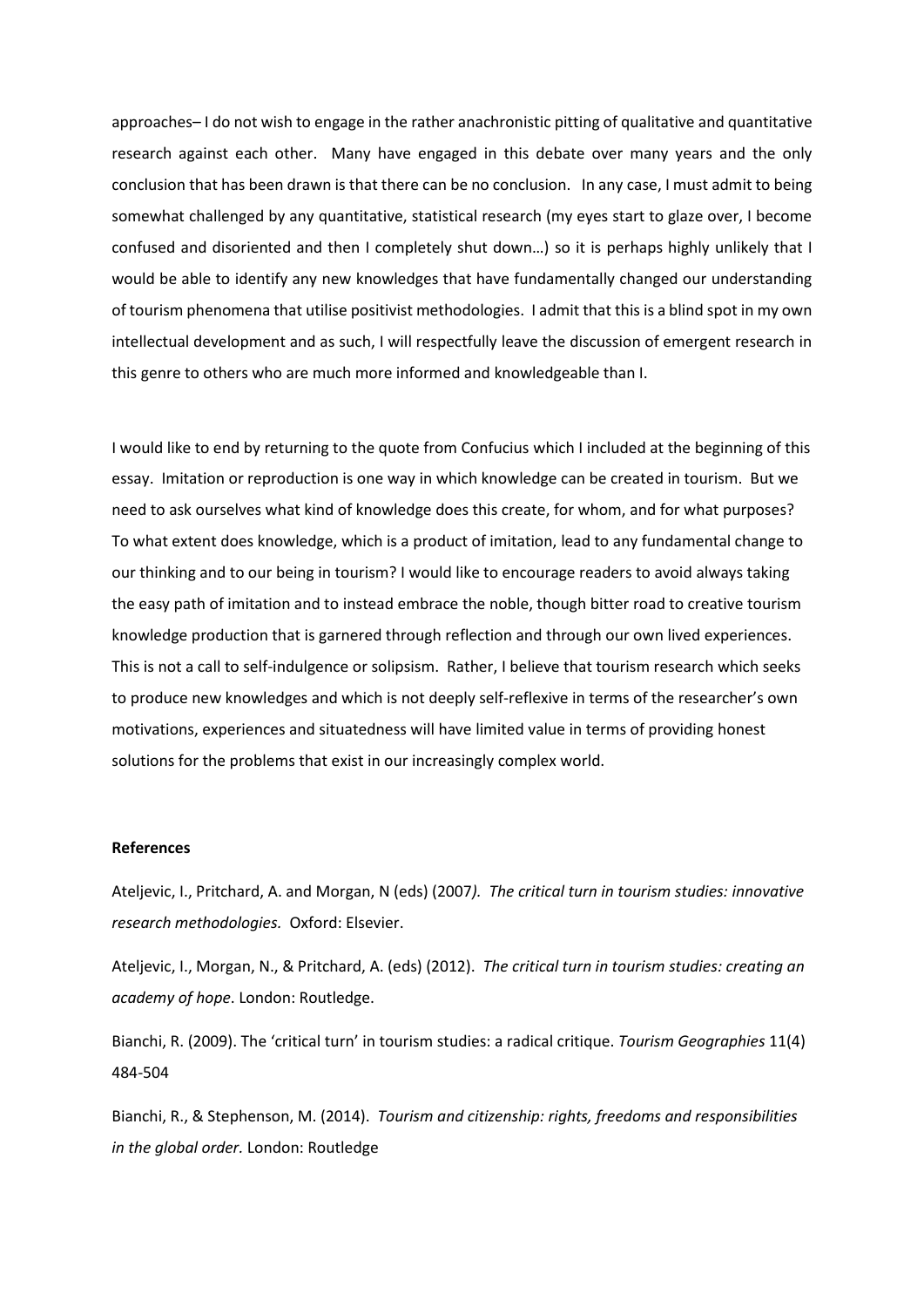approaches– I do not wish to engage in the rather anachronistic pitting of qualitative and quantitative research against each other. Many have engaged in this debate over many years and the only conclusion that has been drawn is that there can be no conclusion. In any case, I must admit to being somewhat challenged by any quantitative, statistical research (my eyes start to glaze over, I become confused and disoriented and then I completely shut down…) so it is perhaps highly unlikely that I would be able to identify any new knowledges that have fundamentally changed our understanding of tourism phenomena that utilise positivist methodologies. I admit that this is a blind spot in my own intellectual development and as such, I will respectfully leave the discussion of emergent research in this genre to others who are much more informed and knowledgeable than I.

I would like to end by returning to the quote from Confucius which I included at the beginning of this essay. Imitation or reproduction is one way in which knowledge can be created in tourism. But we need to ask ourselves what kind of knowledge does this create, for whom, and for what purposes? To what extent does knowledge, which is a product of imitation, lead to any fundamental change to our thinking and to our being in tourism? I would like to encourage readers to avoid always taking the easy path of imitation and to instead embrace the noble, though bitter road to creative tourism knowledge production that is garnered through reflection and through our own lived experiences. This is not a call to self-indulgence or solipsism. Rather, I believe that tourism research which seeks to produce new knowledges and which is not deeply self-reflexive in terms of the researcher's own motivations, experiences and situatedness will have limited value in terms of providing honest solutions for the problems that exist in our increasingly complex world.

## **References**

Ateljevic, I., Pritchard, A. and Morgan, N (eds) (2007*). The critical turn in tourism studies: innovative research methodologies.* Oxford: Elsevier.

Ateljevic, I., Morgan, N., & Pritchard, A. (eds) (2012). *The critical turn in tourism studies: creating an academy of hope*. London: Routledge.

Bianchi, R. (2009). The 'critical turn' in tourism studies: a radical critique. *Tourism Geographies* 11(4) 484-504

Bianchi, R., & Stephenson, M. (2014). *Tourism and citizenship: rights, freedoms and responsibilities in the global order.* London: Routledge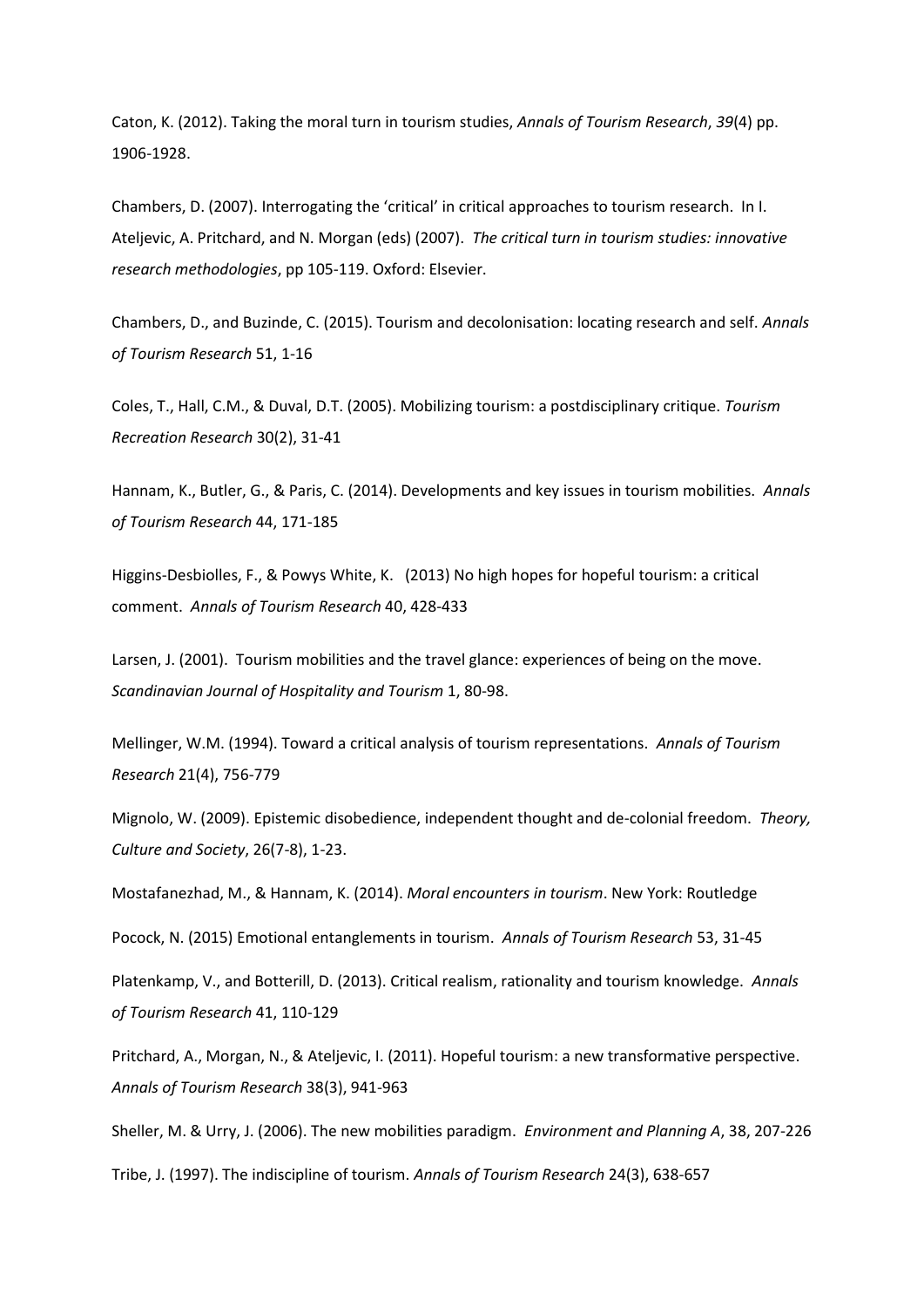Caton, K. (2012). Taking the moral turn in tourism studies, *Annals of Tourism Research*, *39*(4) pp. 1906-1928.

Chambers, D. (2007). Interrogating the 'critical' in critical approaches to tourism research. In I. Ateljevic, A. Pritchard, and N. Morgan (eds) (2007). *The critical turn in tourism studies: innovative research methodologies*, pp 105-119. Oxford: Elsevier.

Chambers, D., and Buzinde, C. (2015). Tourism and decolonisation: locating research and self. *Annals of Tourism Research* 51, 1-16

Coles, T., Hall, C.M., & Duval, D.T. (2005). Mobilizing tourism: a postdisciplinary critique. *Tourism Recreation Research* 30(2), 31-41

Hannam, K., Butler, G., & Paris, C. (2014). Developments and key issues in tourism mobilities. *Annals of Tourism Research* 44, 171-185

Higgins-Desbiolles, F., & Powys White, K. (2013) No high hopes for hopeful tourism: a critical comment. *Annals of Tourism Research* 40, 428-433

Larsen, J. (2001). Tourism mobilities and the travel glance: experiences of being on the move. *Scandinavian Journal of Hospitality and Tourism* 1, 80-98.

Mellinger, W.M. (1994). Toward a critical analysis of tourism representations. *Annals of Tourism Research* 21(4), 756-779

Mignolo, W. (2009). Epistemic disobedience, independent thought and de-colonial freedom. *Theory, Culture and Society*, 26(7-8), 1-23.

Mostafanezhad, M., & Hannam, K. (2014). *Moral encounters in tourism*. New York: Routledge

Pocock, N. (2015) Emotional entanglements in tourism. *Annals of Tourism Research* 53, 31-45

Platenkamp, V., and Botterill, D. (2013). Critical realism, rationality and tourism knowledge. *Annals of Tourism Research* 41, 110-129

Pritchard, A., Morgan, N., & Ateljevic, I. (2011). Hopeful tourism: a new transformative perspective. *Annals of Tourism Research* 38(3), 941-963

Sheller, M. & Urry, J. (2006). The new mobilities paradigm. *Environment and Planning A*, 38, 207-226

Tribe, J. (1997). The indiscipline of tourism. *Annals of Tourism Research* 24(3), 638-657